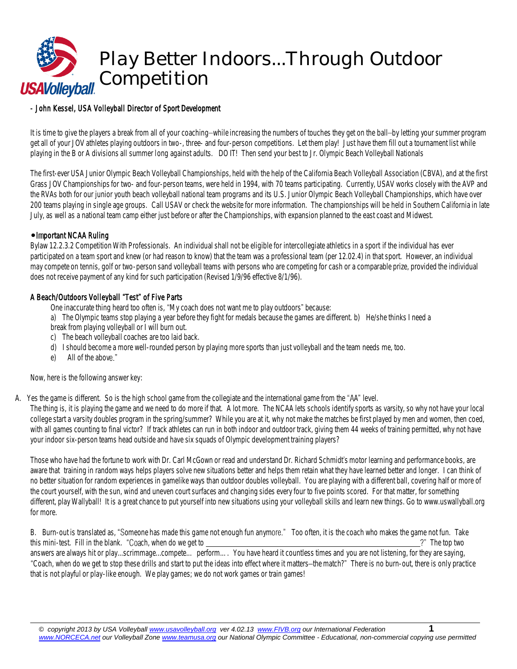

## - *John Kessel, USA Volleyball Director of Sport Development*

It is time to give the players a break from all of your coaching-while increasing the numbers of touches they get on the ball-by letting your summer program get all of your JOV athletes playing outdoorsin two-, three- and four-person competitions. Let them play! Just have them fill out a tournament list while playing in the B or A divisionsall summer long againstadults. DO IT! Then send your best to Jr. Olympic Beach Volleyball Nationals

The first-ever USA Junior Olympic Beach Volleyball Championships, held with the help of the California Beach Volleyball Association (CBVA), and at the first Grass JOV Championshipsfor two- and four-person teams, were held in 1994, with 70 teams participating. Currently, USAV works closely with the AVP and the RVAs both for our junior youth beach volleyball national team programs and its U.S. Junior Olympic Beach Volleyball Championships, which have over 200 teams playing in single age groups. Call USAV or check the websitefor more information. The championships will be held in Southern Californiain late July, as well as a national team camp either just before or after the Championships, with expansion planned to the east coast and Midwest.

#### • Important NCAA Ruling

Bylaw 12.2.3.2 Competition With Professionals. An individual shall not be eligible for intercollegiate athletics in a sport if the individual has ever participated on a team sport and knew (or had reason to know) that the team was a professional team (per 12.02.4) in that sport. However, an individual maycompete on tennis, golf or two-person sand volleyball teams with persons who are competing for cash or a comparable prize, provided the individual does not receive payment of any kind for such participation (Revised 1/9/96 effective 8/1/96).

## A Beach/Outdoors Volleyball "Test" of Five Parts

One inaccurate thing heard too often is, "My coach does not want me to play outdoors" because:

a) The Olympic teams stop playing a year before they fight for medals because the games are different. b) He/she thinks I need a break from playing volleyball or I will burn out.

- c) The beach volleyball coaches are too laid back.
- d) I should becomea more well-rounded person by playing more sports than just volleyballand the team needs me, too.
- $\rho$ ) All of the above "

#### *Now, here is the following answerkey*:

A. Yes the game is different. So is the high school game from the collegiate and the international game from the "AA" level.

The thing is, it is playing the game and we need to do more if that. A lot more. The NCAA lets schools identify sports as varsity, so why not have your local college start a varsity doubles program in the spring/summer? While you are at it, why not make the matches be first played by men and women, then coed, with all games counting to final victor? If track athletes can run in both indoor and outdoor track, giving them 44 weeks of training permitted, why not have your indoor six-person teams head outside and have six squads of Olympic development training players?

Those who have had the fortune to work with Dr. Carl McGown or read and understand Dr. Richard Schmidt's motor learning and performance books, are aware that training in random ways helps playerssolve new situations better and helps them retain what they have learned better and longer. I can think of no better situation for random experiencesin gamelike ways than outdoor doubles volleyball. You are playing with a different ball, covering half or more of the court yourself, with the sun, wind and uneven court surfaces and changing sides every four to five points scored. For that matter, for something different, play Wallyball! It is a great chance to put yourself into new situations using your volleyball skills and learn new things. Go to [www.uswallyball.org](http://www.uswallyball.org/) for more.

B. Burn-out is translated as, "Someone has made this game not enough fun anymore." Too often, it is the coach who makes the game not fun. Take this mini-test. Fill in the blank. "Coach, when do we get to  $\frac{1}{100}$  and the top two  $\frac{1}{100}$  and the top two  $\frac{1}{100}$  and the top two  $\frac{1}{100}$  and the top two  $\frac{1}{100}$  and the top two  $\frac{1}{100}$  and the answers are always hit or play...scrimmage...compete... perform... You have heard it countless times and you are not listening, for they are saying, "Coach, when do we get to stop these drills and start to put the ideas into effect where it matters-the match?" There is no burn-out, there is only practice